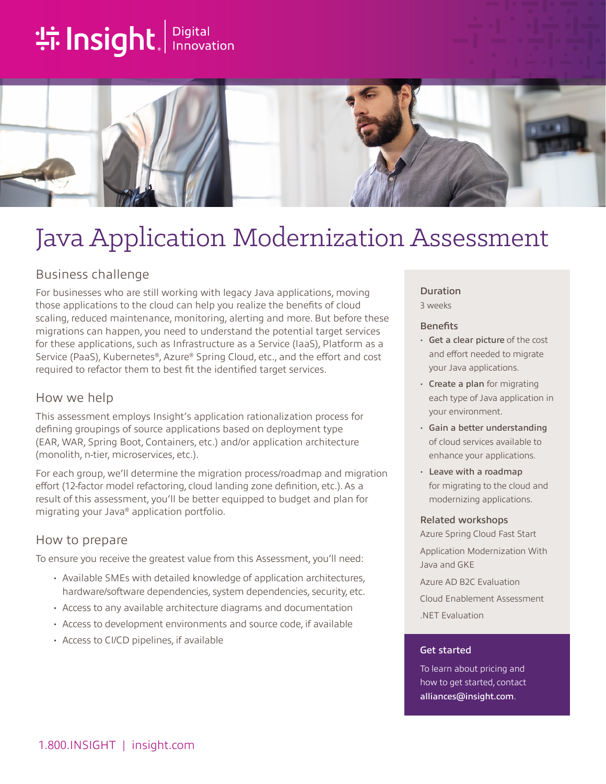# **the Insight**. Innovation



## Java Application Modernization Assessment

## Business challenge

For businesses who are still working with legacy Java applications, moving those applications to the cloud can help you realize the benefits of cloud scaling, reduced maintenance, monitoring, alerting and more. But before these migrations can happen, you need to understand the potential target services for these applications, such as Infrastructure as a Service (IaaS), Platform as a Service (PaaS), Kubernetes®, Azure® Spring Cloud, etc., and the effort and cost required to refactor them to best fit the identified target services.

### How we help

This assessment employs Insight's application rationalization process for defining groupings of source applications based on deployment type (EAR, WAR, Spring Boot, Containers, etc.) and/or application architecture (monolith, n-tier, microservices, etc.).

For each group, we'll determine the migration process/roadmap and migration effort (12-factor model refactoring, cloud landing zone definition, etc.). As a result of this assessment, you'll be better equipped to budget and plan for migrating your Java® application portfolio.

## How to prepare

To ensure you receive the greatest value from this Assessment, you'll need:

- Available SMEs with detailed knowledge of application architectures, hardware/software dependencies, system dependencies, security, etc.
- Access to any available architecture diagrams and documentation
- Access to development environments and source code, if available
- Access to CI/CD pipelines, if available

## Duration

3 weeks

#### **Benefits**

- Get a clear picture of the cost and effort needed to migrate your Java applications.
- Create a plan for migrating each type of Java application in your environment.
- Gain a better understanding of cloud services available to enhance your applications.
- Leave with a roadmap for migrating to the cloud and modernizing applications.

#### Related workshops

Azure Spring Cloud Fast Start Application Modernization With Java and GKE

Azure AD B2C Evaluation Cloud Enablement Assessment .NET Evaluation

#### Get started

To learn about pricing and how to get started, contact [alliances@insight.com](mailto:alliances@insight.com).